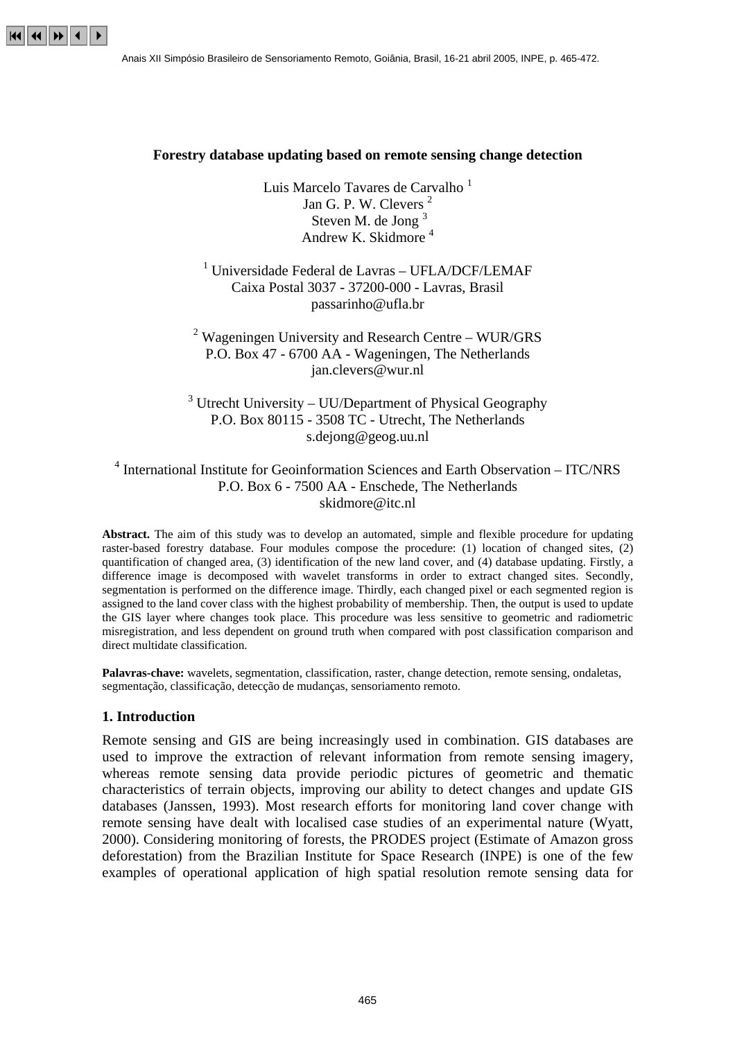

#### **Forestry database updating based on remote sensing change detection**

Luis Marcelo Tavares de Carvalho<sup>1</sup> Jan G. P. W. Clevers<sup>2</sup> Steven M. de Jong<sup>3</sup> Andrew K. Skidmore 4

# <sup>1</sup> Universidade Federal de Lavras - UFLA/DCF/LEMAF Caixa Postal 3037 - 37200-000 - Lavras, Brasil passarinho@ufla.br

<sup>2</sup> Wageningen University and Research Centre - WUR/GRS P.O. Box 47 - 6700 AA - Wageningen, The Netherlands jan.clevers@wur.nl

 $3$  Utrecht University – UU/Department of Physical Geography P.O. Box 80115 - 3508 TC - Utrecht, The Netherlands s.dejong@geog.uu.nl

4 International Institute for Geoinformation Sciences and Earth Observation – ITC/NRS P.O. Box 6 - 7500 AA - Enschede, The Netherlands skidmore@itc.nl

**Abstract.** The aim of this study was to develop an automated, simple and flexible procedure for updating raster-based forestry database. Four modules compose the procedure: (1) location of changed sites, (2) quantification of changed area, (3) identification of the new land cover, and (4) database updating. Firstly, a difference image is decomposed with wavelet transforms in order to extract changed sites. Secondly, segmentation is performed on the difference image. Thirdly, each changed pixel or each segmented region is assigned to the land cover class with the highest probability of membership. Then, the output is used to update the GIS layer where changes took place. This procedure was less sensitive to geometric and radiometric misregistration, and less dependent on ground truth when compared with post classification comparison and direct multidate classification.

**Palavras-chave:** wavelets, segmentation, classification, raster, change detection, remote sensing, ondaletas, segmentação, classificação, detecção de mudanças, sensoriamento remoto.

#### **1. Introduction**

Remote sensing and GIS are being increasingly used in combination. GIS databases are used to improve the extraction of relevant information from remote sensing imagery, whereas remote sensing data provide periodic pictures of geometric and thematic characteristics of terrain objects, improving our ability to detect changes and update GIS databases (Janssen, 1993). Most research efforts for monitoring land cover change with remote sensing have dealt with localised case studies of an experimental nature (Wyatt, 2000). Considering monitoring of forests, the PRODES project (Estimate of Amazon gross deforestation) from the Brazilian Institute for Space Research (INPE) is one of the few examples of operational application of high spatial resolution remote sensing data for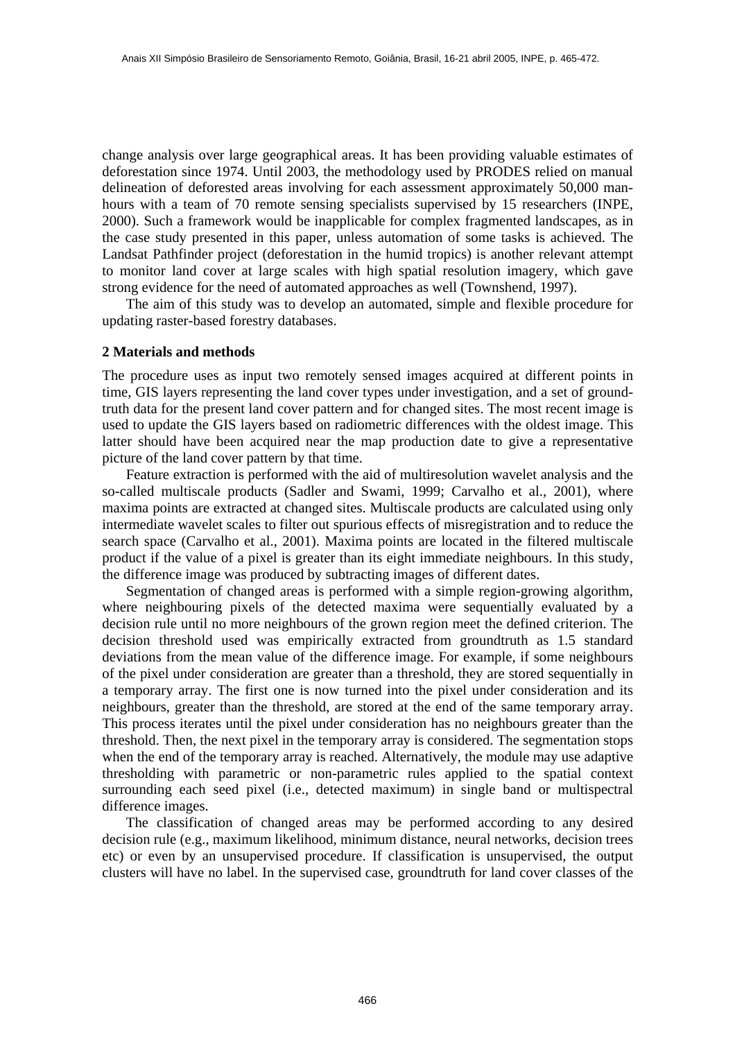change analysis over large geographical areas. It has been providing valuable estimates of deforestation since 1974. Until 2003, the methodology used by PRODES relied on manual delineation of deforested areas involving for each assessment approximately 50,000 manhours with a team of 70 remote sensing specialists supervised by 15 researchers (INPE, 2000). Such a framework would be inapplicable for complex fragmented landscapes, as in the case study presented in this paper, unless automation of some tasks is achieved. The Landsat Pathfinder project (deforestation in the humid tropics) is another relevant attempt to monitor land cover at large scales with high spatial resolution imagery, which gave strong evidence for the need of automated approaches as well (Townshend, 1997).

The aim of this study was to develop an automated, simple and flexible procedure for updating raster-based forestry databases.

## **2 Materials and methods**

The procedure uses as input two remotely sensed images acquired at different points in time, GIS layers representing the land cover types under investigation, and a set of groundtruth data for the present land cover pattern and for changed sites. The most recent image is used to update the GIS layers based on radiometric differences with the oldest image. This latter should have been acquired near the map production date to give a representative picture of the land cover pattern by that time.

Feature extraction is performed with the aid of multiresolution wavelet analysis and the so-called multiscale products (Sadler and Swami, 1999; Carvalho et al., 2001), where maxima points are extracted at changed sites. Multiscale products are calculated using only intermediate wavelet scales to filter out spurious effects of misregistration and to reduce the search space (Carvalho et al., 2001). Maxima points are located in the filtered multiscale product if the value of a pixel is greater than its eight immediate neighbours. In this study, the difference image was produced by subtracting images of different dates.

Segmentation of changed areas is performed with a simple region-growing algorithm, where neighbouring pixels of the detected maxima were sequentially evaluated by a decision rule until no more neighbours of the grown region meet the defined criterion. The decision threshold used was empirically extracted from groundtruth as 1.5 standard deviations from the mean value of the difference image. For example, if some neighbours of the pixel under consideration are greater than a threshold, they are stored sequentially in a temporary array. The first one is now turned into the pixel under consideration and its neighbours, greater than the threshold, are stored at the end of the same temporary array. This process iterates until the pixel under consideration has no neighbours greater than the threshold. Then, the next pixel in the temporary array is considered. The segmentation stops when the end of the temporary array is reached. Alternatively, the module may use adaptive thresholding with parametric or non-parametric rules applied to the spatial context surrounding each seed pixel (i.e., detected maximum) in single band or multispectral difference images.

The classification of changed areas may be performed according to any desired decision rule (e.g., maximum likelihood, minimum distance, neural networks, decision trees etc) or even by an unsupervised procedure. If classification is unsupervised, the output clusters will have no label. In the supervised case, groundtruth for land cover classes of the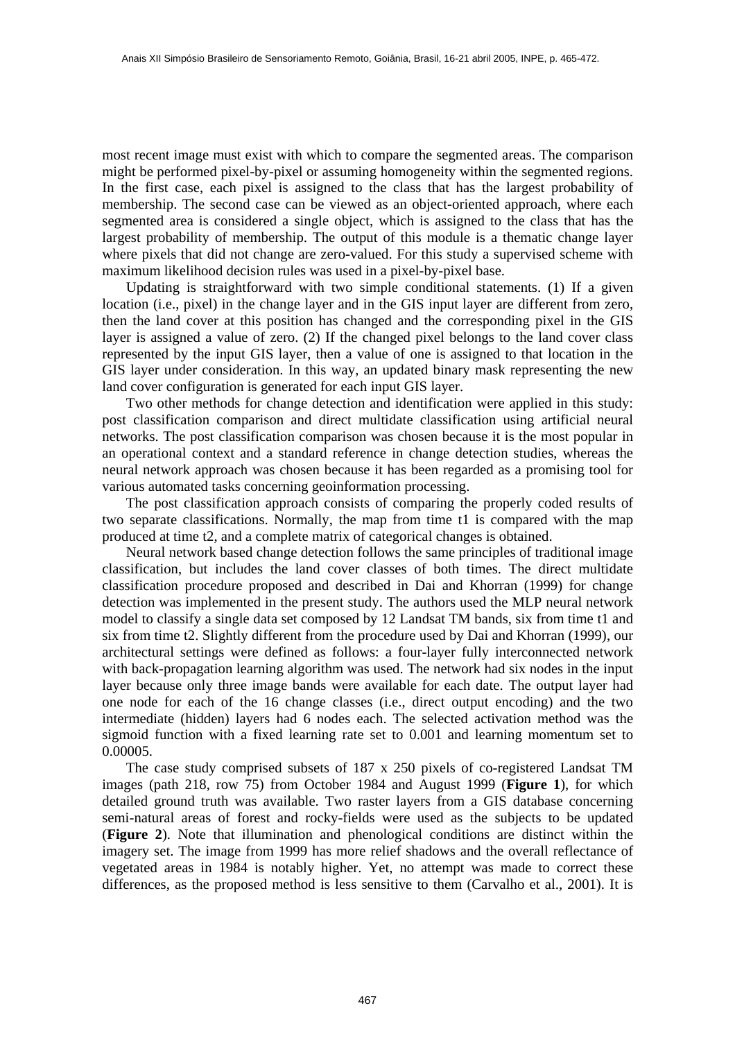most recent image must exist with which to compare the segmented areas. The comparison might be performed pixel-by-pixel or assuming homogeneity within the segmented regions. In the first case, each pixel is assigned to the class that has the largest probability of membership. The second case can be viewed as an object-oriented approach, where each segmented area is considered a single object, which is assigned to the class that has the largest probability of membership. The output of this module is a thematic change layer where pixels that did not change are zero-valued. For this study a supervised scheme with maximum likelihood decision rules was used in a pixel-by-pixel base.

Updating is straightforward with two simple conditional statements. (1) If a given location (i.e., pixel) in the change layer and in the GIS input layer are different from zero, then the land cover at this position has changed and the corresponding pixel in the GIS layer is assigned a value of zero. (2) If the changed pixel belongs to the land cover class represented by the input GIS layer, then a value of one is assigned to that location in the GIS layer under consideration. In this way, an updated binary mask representing the new land cover configuration is generated for each input GIS layer.

Two other methods for change detection and identification were applied in this study: post classification comparison and direct multidate classification using artificial neural networks. The post classification comparison was chosen because it is the most popular in an operational context and a standard reference in change detection studies, whereas the neural network approach was chosen because it has been regarded as a promising tool for various automated tasks concerning geoinformation processing.

The post classification approach consists of comparing the properly coded results of two separate classifications. Normally, the map from time t1 is compared with the map produced at time t2, and a complete matrix of categorical changes is obtained.

Neural network based change detection follows the same principles of traditional image classification, but includes the land cover classes of both times. The direct multidate classification procedure proposed and described in Dai and Khorran (1999) for change detection was implemented in the present study. The authors used the MLP neural network model to classify a single data set composed by 12 Landsat TM bands, six from time t1 and six from time t2. Slightly different from the procedure used by Dai and Khorran (1999), our architectural settings were defined as follows: a four-layer fully interconnected network with back-propagation learning algorithm was used. The network had six nodes in the input layer because only three image bands were available for each date. The output layer had one node for each of the 16 change classes (i.e., direct output encoding) and the two intermediate (hidden) layers had 6 nodes each. The selected activation method was the sigmoid function with a fixed learning rate set to 0.001 and learning momentum set to 0.00005.

The case study comprised subsets of 187 x 250 pixels of co-registered Landsat TM images (path 218, row 75) from October 1984 and August 1999 (**Figure 1**), for which detailed ground truth was available. Two raster layers from a GIS database concerning semi-natural areas of forest and rocky-fields were used as the subjects to be updated (**Figure 2**). Note that illumination and phenological conditions are distinct within the imagery set. The image from 1999 has more relief shadows and the overall reflectance of vegetated areas in 1984 is notably higher. Yet, no attempt was made to correct these differences, as the proposed method is less sensitive to them (Carvalho et al., 2001). It is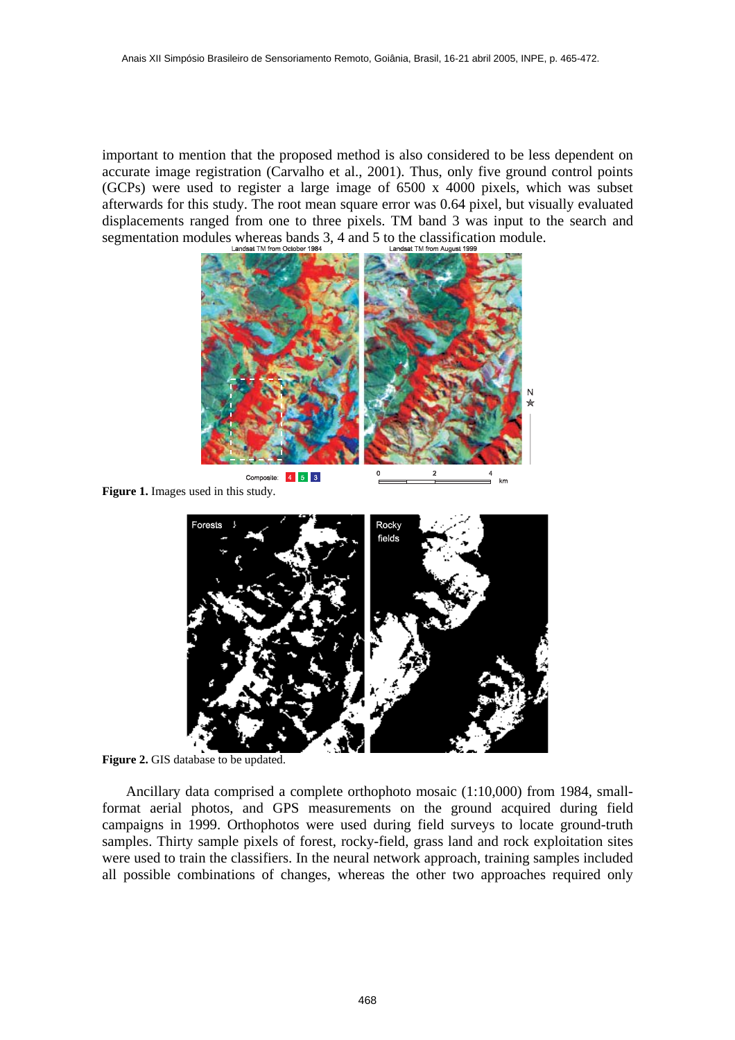important to mention that the proposed method is also considered to be less dependent on accurate image registration (Carvalho et al., 2001). Thus, only five ground control points (GCPs) were used to register a large image of 6500 x 4000 pixels, which was subset afterwards for this study. The root mean square error was 0.64 pixel, but visually evaluated displacements ranged from one to three pixels. TM band 3 was input to the search and segmentation modules whereas bands 3, 4 and 5 to the classification module.



**Figure 1.** Images used in this study.



**Figure 2.** GIS database to be updated.

Ancillary data comprised a complete orthophoto mosaic (1:10,000) from 1984, smallformat aerial photos, and GPS measurements on the ground acquired during field campaigns in 1999. Orthophotos were used during field surveys to locate ground-truth samples. Thirty sample pixels of forest, rocky-field, grass land and rock exploitation sites were used to train the classifiers. In the neural network approach, training samples included all possible combinations of changes, whereas the other two approaches required only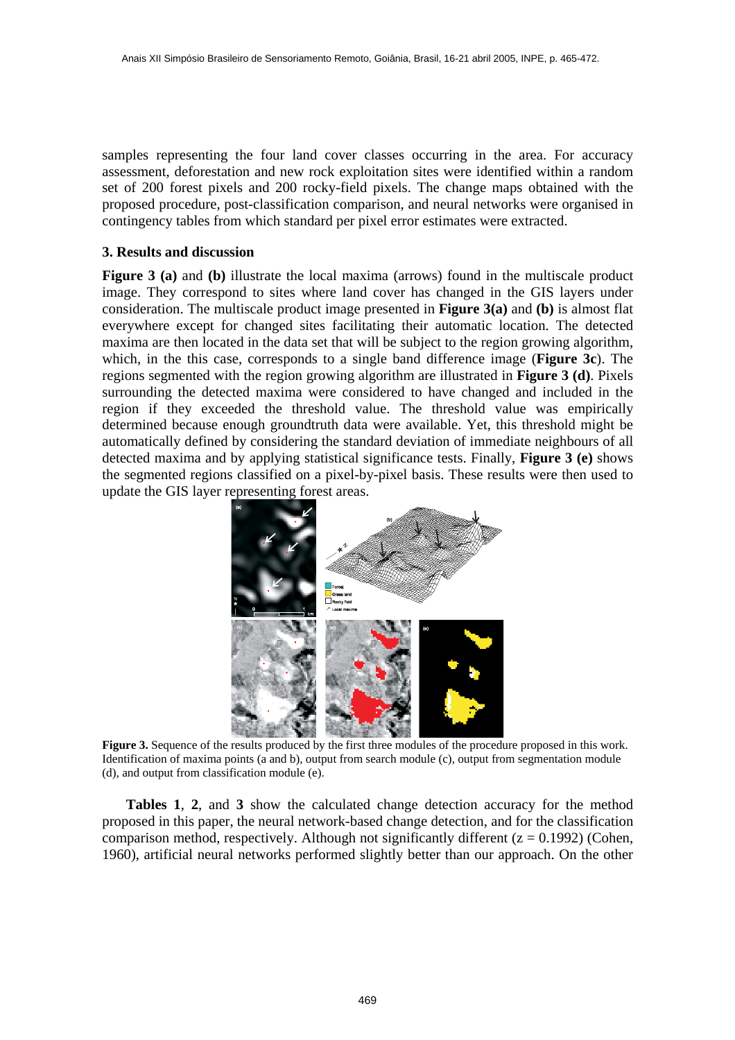samples representing the four land cover classes occurring in the area. For accuracy assessment, deforestation and new rock exploitation sites were identified within a random set of 200 forest pixels and 200 rocky-field pixels. The change maps obtained with the proposed procedure, post-classification comparison, and neural networks were organised in contingency tables from which standard per pixel error estimates were extracted.

## **3. Results and discussion**

**Figure 3 (a)** and **(b)** illustrate the local maxima (arrows) found in the multiscale product image. They correspond to sites where land cover has changed in the GIS layers under consideration. The multiscale product image presented in **Figure 3(a)** and **(b)** is almost flat everywhere except for changed sites facilitating their automatic location. The detected maxima are then located in the data set that will be subject to the region growing algorithm, which, in the this case, corresponds to a single band difference image (**Figure 3c**). The regions segmented with the region growing algorithm are illustrated in **Figure 3 (d)**. Pixels surrounding the detected maxima were considered to have changed and included in the region if they exceeded the threshold value. The threshold value was empirically determined because enough groundtruth data were available. Yet, this threshold might be automatically defined by considering the standard deviation of immediate neighbours of all detected maxima and by applying statistical significance tests. Finally, **Figure 3 (e)** shows the segmented regions classified on a pixel-by-pixel basis. These results were then used to update the GIS layer representing forest areas.



**Figure 3.** Sequence of the results produced by the first three modules of the procedure proposed in this work. Identification of maxima points (a and b), output from search module (c), output from segmentation module (d), and output from classification module (e).

**Tables 1**, **2**, and **3** show the calculated change detection accuracy for the method proposed in this paper, the neural network-based change detection, and for the classification comparison method, respectively. Although not significantly different  $(z = 0.1992)$  (Cohen, 1960), artificial neural networks performed slightly better than our approach. On the other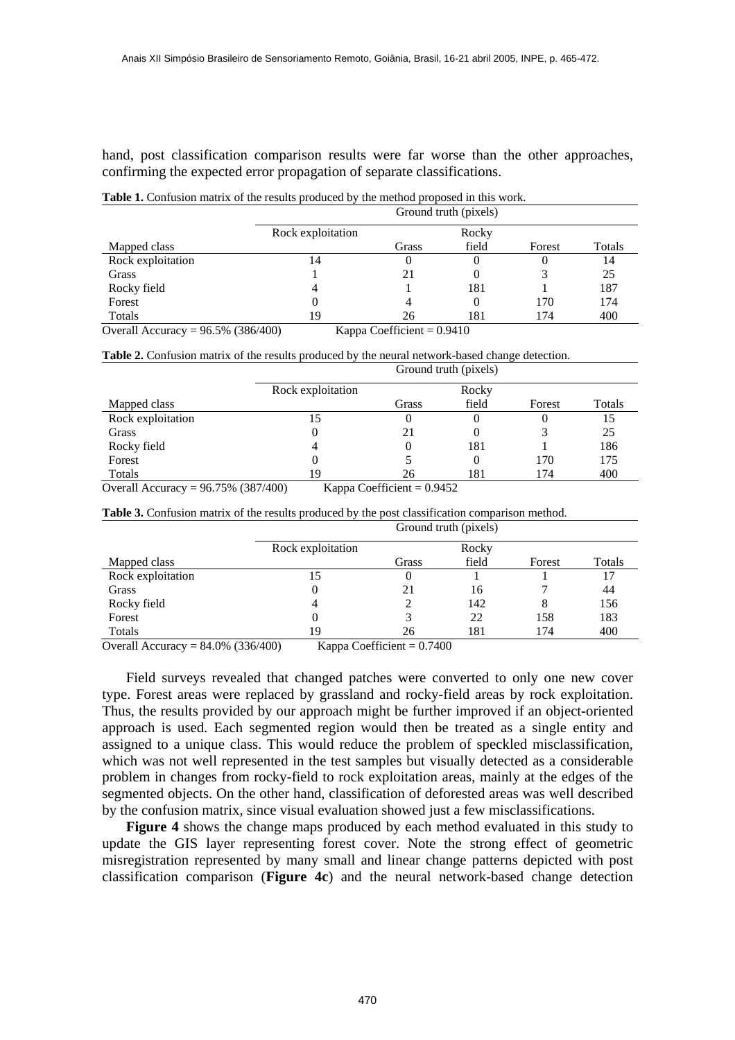hand, post classification comparison results were far worse than the other approaches, confirming the expected error propagation of separate classifications.

Table 1. Confusion matrix of the results produced by the method proposed in this work.

|                                       | Ground truth (pixels)        |       |          |        |        |  |
|---------------------------------------|------------------------------|-------|----------|--------|--------|--|
|                                       | Rock exploitation            |       | Rocky    |        |        |  |
| Mapped class                          |                              | Grass | field    | Forest | Totals |  |
| Rock exploitation                     | 14                           |       | $\theta$ | O      | 14     |  |
| Grass                                 |                              |       | 0        |        | 25     |  |
| Rocky field                           |                              |       | 181      |        | 187    |  |
| Forest                                |                              |       | $\theta$ | 170    | 174    |  |
| Totals                                | 19                           | 26    | 181      | 174    | 400    |  |
| Overall Accuracy = $96.5\%$ (386/400) | Kappa Coefficient $= 0.9410$ |       |          |        |        |  |

**Table 2.** Confusion matrix of the results produced by the neural network-based change detection.

|                          | Ground truth (pixels) |                                                         |       |        |        |  |
|--------------------------|-----------------------|---------------------------------------------------------|-------|--------|--------|--|
|                          | Rock exploitation     |                                                         | Rocky |        |        |  |
| Mapped class             |                       | Grass                                                   | field | Forest | Totals |  |
| Rock exploitation        | 15                    |                                                         | O     | 0      | 15     |  |
| Grass                    |                       |                                                         | 0     |        | 25     |  |
| Rocky field              |                       |                                                         | 181   |        | 186    |  |
| Forest                   |                       |                                                         | 0     | 170    | 175    |  |
| Totals                   | 19                    | 26                                                      | 181   | 174    | 400    |  |
| $\bigcap$ 11 A $\bigcap$ | $OC$ $750/7007/100$   | $\mathbf{r}$ $\alpha$ $\alpha$ $\beta$ $\alpha$ $\beta$ |       |        |        |  |

Overall Accuracy =  $96.75\%$  (387/400) Kappa Coefficient = 0.9452

**Table 3.** Confusion matrix of the results produced by the post classification comparison method.

|                   | Ground truth (pixels) |       |       |        |        |  |
|-------------------|-----------------------|-------|-------|--------|--------|--|
|                   | Rock exploitation     |       | Rocky |        |        |  |
| Mapped class      |                       | Grass | field | Forest | Totals |  |
| Rock exploitation | 15                    |       |       |        |        |  |
| Grass             |                       | 21    | 16    |        | 44     |  |
| Rocky field       | 4                     |       | 142   | 8      | 156    |  |
| Forest            |                       |       | 22    | 158    | 183    |  |
| Totals            | 19                    | 26    | 181   | 174    | 400    |  |

Overall Accuracy =  $84.0\%$  (336/400) Kappa Coefficient =  $0.7400$ 

Field surveys revealed that changed patches were converted to only one new cover type. Forest areas were replaced by grassland and rocky-field areas by rock exploitation. Thus, the results provided by our approach might be further improved if an object-oriented approach is used. Each segmented region would then be treated as a single entity and assigned to a unique class. This would reduce the problem of speckled misclassification, which was not well represented in the test samples but visually detected as a considerable problem in changes from rocky-field to rock exploitation areas, mainly at the edges of the segmented objects. On the other hand, classification of deforested areas was well described by the confusion matrix, since visual evaluation showed just a few misclassifications.

**Figure 4** shows the change maps produced by each method evaluated in this study to update the GIS layer representing forest cover. Note the strong effect of geometric misregistration represented by many small and linear change patterns depicted with post classification comparison (**Figure 4c**) and the neural network-based change detection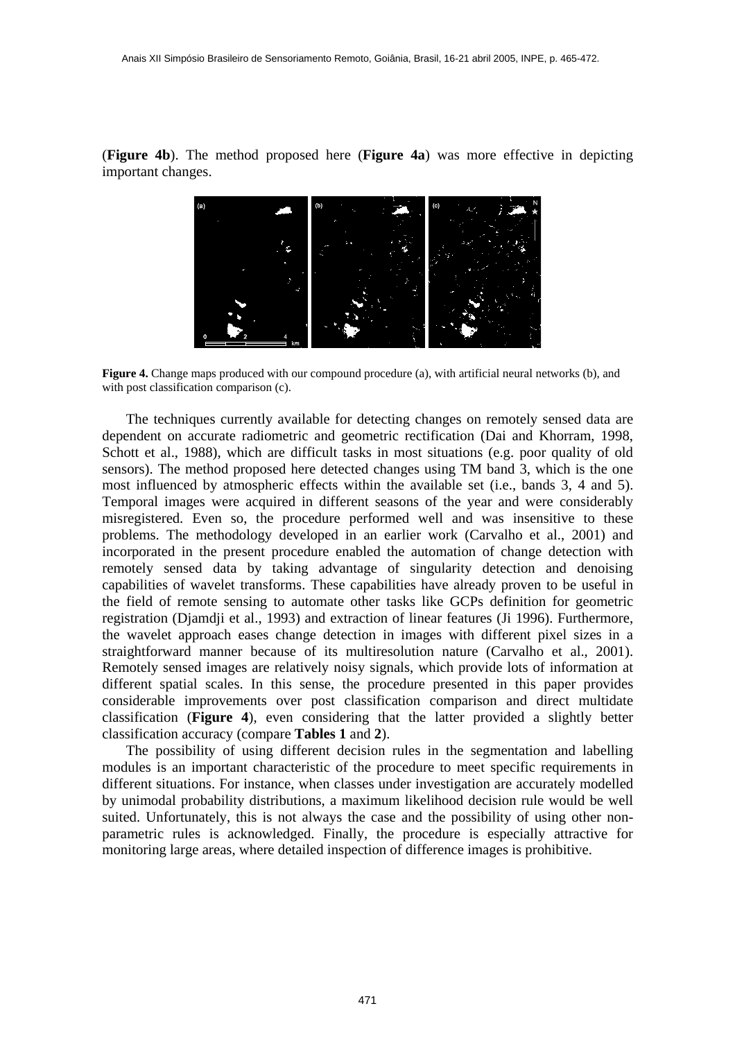(**Figure 4b**). The method proposed here (**Figure 4a**) was more effective in depicting important changes.



**Figure 4.** Change maps produced with our compound procedure (a), with artificial neural networks (b), and with post classification comparison (c).

The techniques currently available for detecting changes on remotely sensed data are dependent on accurate radiometric and geometric rectification (Dai and Khorram, 1998, Schott et al., 1988), which are difficult tasks in most situations (e.g. poor quality of old sensors). The method proposed here detected changes using TM band 3, which is the one most influenced by atmospheric effects within the available set (i.e., bands 3, 4 and 5). Temporal images were acquired in different seasons of the year and were considerably misregistered. Even so, the procedure performed well and was insensitive to these problems. The methodology developed in an earlier work (Carvalho et al., 2001) and incorporated in the present procedure enabled the automation of change detection with remotely sensed data by taking advantage of singularity detection and denoising capabilities of wavelet transforms. These capabilities have already proven to be useful in the field of remote sensing to automate other tasks like GCPs definition for geometric registration (Djamdji et al., 1993) and extraction of linear features (Ji 1996). Furthermore, the wavelet approach eases change detection in images with different pixel sizes in a straightforward manner because of its multiresolution nature (Carvalho et al., 2001). Remotely sensed images are relatively noisy signals, which provide lots of information at different spatial scales. In this sense, the procedure presented in this paper provides considerable improvements over post classification comparison and direct multidate classification (**Figure 4**), even considering that the latter provided a slightly better classification accuracy (compare **Tables 1** and **2**).

The possibility of using different decision rules in the segmentation and labelling modules is an important characteristic of the procedure to meet specific requirements in different situations. For instance, when classes under investigation are accurately modelled by unimodal probability distributions, a maximum likelihood decision rule would be well suited. Unfortunately, this is not always the case and the possibility of using other nonparametric rules is acknowledged. Finally, the procedure is especially attractive for monitoring large areas, where detailed inspection of difference images is prohibitive.